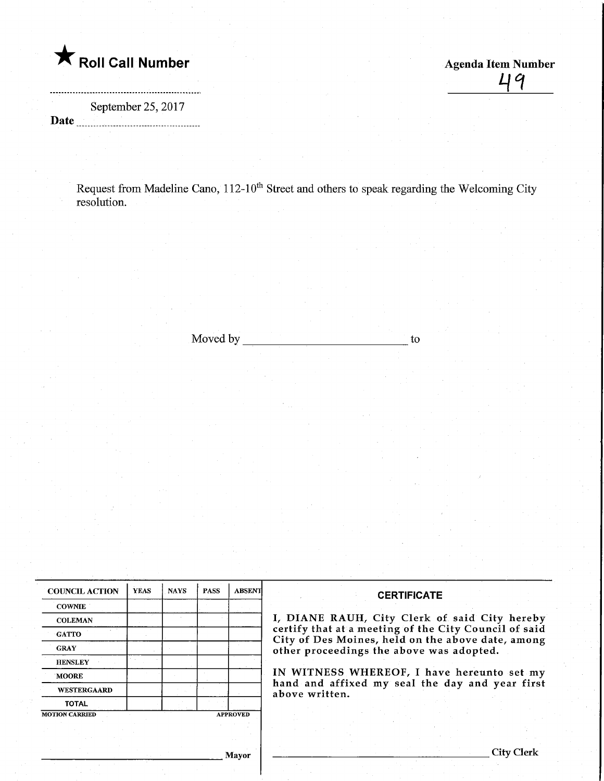

September 25, 2017 Date

49

Request from Madeline Cano, 112-10<sup>th</sup> Street and others to speak regarding the Welcoming City resolution.

Moved by to

| <b>COUNCIL ACTION</b> | <b>YEAS</b>     | <b>NAYS</b> | <b>PASS</b> | <b>ABSENT</b> | <b>CERTIFICATE</b>                                                                                                                                          |  |  |
|-----------------------|-----------------|-------------|-------------|---------------|-------------------------------------------------------------------------------------------------------------------------------------------------------------|--|--|
| <b>COWNIE</b>         |                 |             |             |               |                                                                                                                                                             |  |  |
| <b>COLEMAN</b>        |                 |             |             |               | I, DIANE RAUH, City Clerk of said City hereby<br>certify that at a meeting of the City Council of said<br>City of Des Moines, held on the above date, among |  |  |
| <b>GATTO</b>          |                 |             |             |               |                                                                                                                                                             |  |  |
| <b>GRAY</b>           |                 |             |             |               | other proceedings the above was adopted.<br>IN WITNESS WHEREOF, I have hereunto set my<br>hand and affixed my seal the day and year first<br>above written. |  |  |
| <b>HENSLEY</b>        |                 |             |             |               |                                                                                                                                                             |  |  |
| <b>MOORE</b>          |                 |             |             |               |                                                                                                                                                             |  |  |
| WESTERGAARD           |                 |             |             |               |                                                                                                                                                             |  |  |
| <b>TOTAL</b>          |                 |             |             |               |                                                                                                                                                             |  |  |
| <b>MOTION CARRIED</b> | <b>APPROVED</b> |             |             |               |                                                                                                                                                             |  |  |
|                       |                 |             |             |               |                                                                                                                                                             |  |  |
|                       |                 |             |             | Mavor         | City Clerk                                                                                                                                                  |  |  |

Mayor